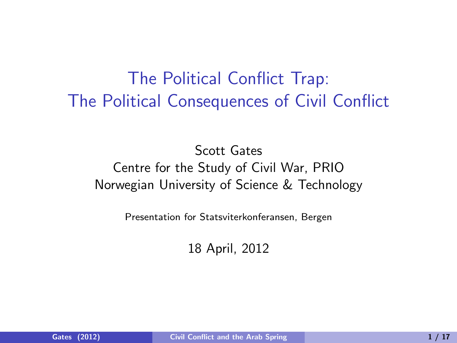### The Political Conflict Trap: The Political Consequences of Civil Conflict

#### Scott Gates Centre for the Study of Civil War, PRIO Norwegian University of Science & Technology

Presentation for Statsviterkonferansen, Bergen

<span id="page-0-0"></span>18 April, 2012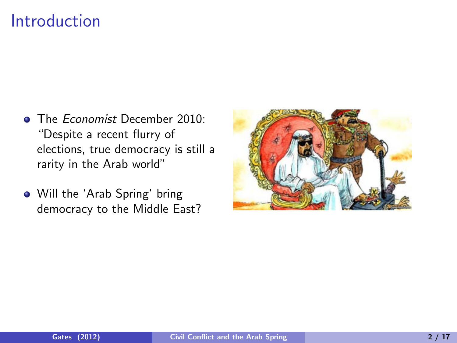#### Introduction

- **The Fronomist December 2010:** "Despite a recent flurry of elections, true democracy is still a rarity in the Arab world"
- Will the 'Arab Spring' bring democracy to the Middle East?

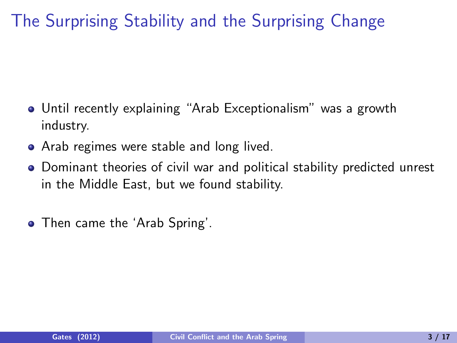The Surprising Stability and the Surprising Change

- Until recently explaining "Arab Exceptionalism" was a growth industry.
- Arab regimes were stable and long lived.
- Dominant theories of civil war and political stability predicted unrest in the Middle East, but we found stability.
- Then came the 'Arab Spring'.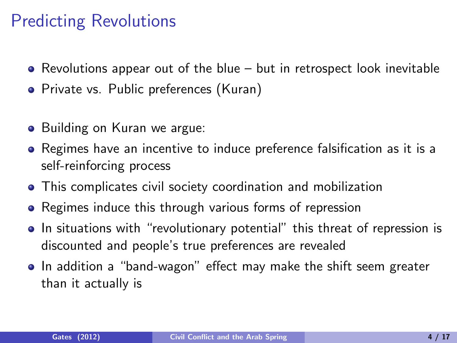#### Predicting Revolutions

- $\bullet$  Revolutions appear out of the blue but in retrospect look inevitable
- Private vs. Public preferences (Kuran)
- Building on Kuran we argue:
- Regimes have an incentive to induce preference falsification as it is a self-reinforcing process
- This complicates civil society coordination and mobilization
- Regimes induce this through various forms of repression
- In situations with "revolutionary potential" this threat of repression is discounted and people's true preferences are revealed
- In addition a "band-wagon" effect may make the shift seem greater than it actually is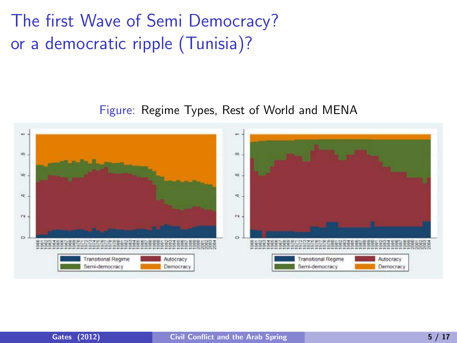The first Wave of Semi Democracy? or a democratic ripple (Tunisia)?

#### Figure: Regime Types, Rest of World and MENA

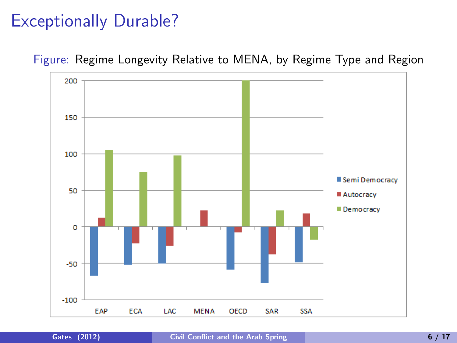#### Exceptionally Durable?



Figure: Regime Longevity Relative to MENA, by Regime Type and Region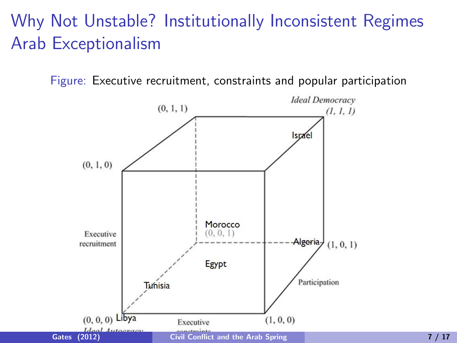## Why Not Unstable? Institutionally Inconsistent Regimes Arab Exceptionalism

Figure: Executive recruitment, constraints and popular participation

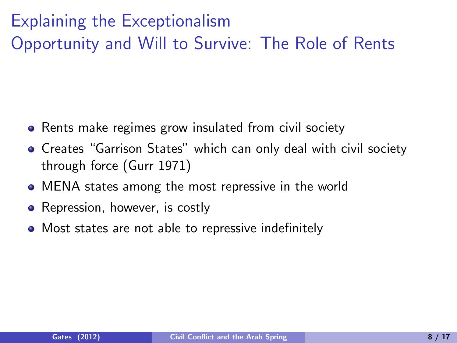# Explaining the Exceptionalism Opportunity and Will to Survive: The Role of Rents

- Rents make regimes grow insulated from civil society
- **•** Creates "Garrison States" which can only deal with civil society through force (Gurr 1971)
- MENA states among the most repressive in the world
- Repression, however, is costly
- Most states are not able to repressive indefinitely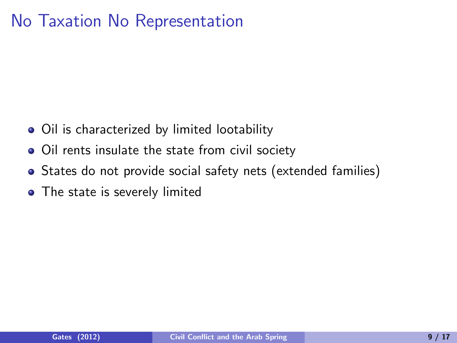#### No Taxation No Representation

- Oil is characterized by limited lootability
- Oil rents insulate the state from civil society
- States do not provide social safety nets (extended families)
- The state is severely limited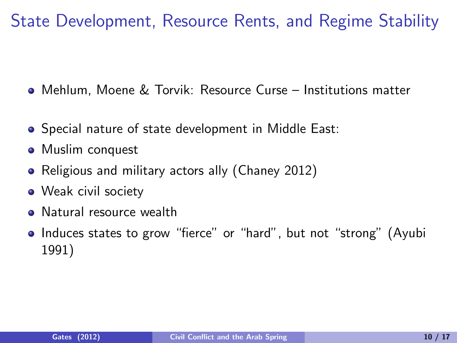State Development, Resource Rents, and Regime Stability

- Mehlum, Moene & Torvik: Resource Curse Institutions matter
- Special nature of state development in Middle East:
- Muslim conquest
- Religious and military actors ally (Chaney 2012)
- Weak civil society
- Natural resource wealth
- Induces states to grow "fierce" or "hard", but not "strong" (Ayubi 1991)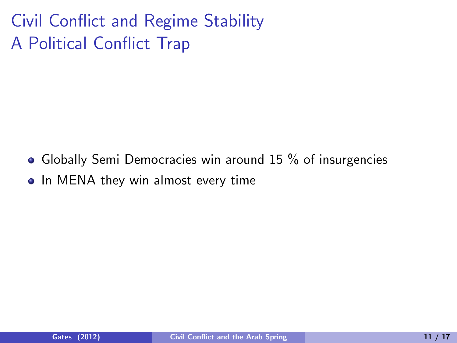Civil Conflict and Regime Stability A Political Conflict Trap

- Globally Semi Democracies win around 15 % of insurgencies
- In MENA they win almost every time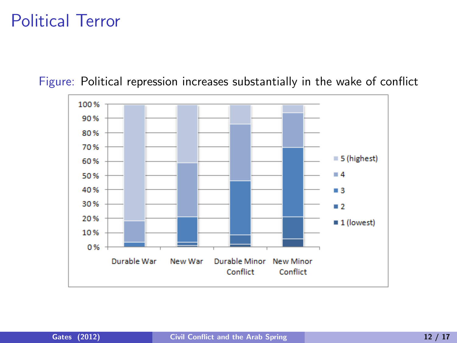#### Political Terror

100% 90% 80% 70%  $\equiv$  5 (highest) 60%  $\blacksquare$  4 50% 40%  $\blacksquare$  3 30%  $\blacksquare$  2 20%  $\blacksquare$  1 (lowest) 10% 0% Durable War Durable Minor **New Minor** New War Conflict Conflict

Figure: Political repression increases substantially in the wake of conflict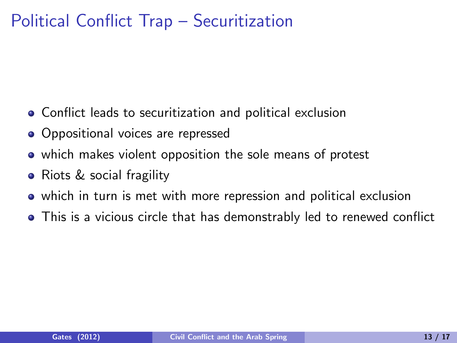### Political Conflict Trap – Securitization

- Conflict leads to securitization and political exclusion
- Oppositional voices are repressed
- which makes violent opposition the sole means of protest
- Riots & social fragility
- which in turn is met with more repression and political exclusion
- This is a vicious circle that has demonstrably led to renewed conflict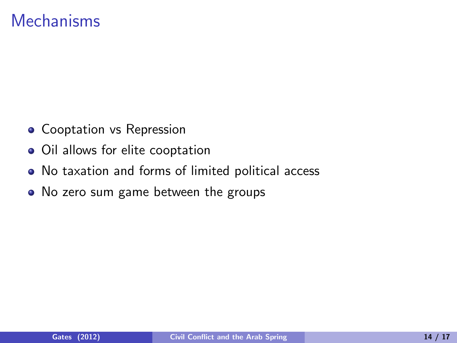#### **Mechanisms**

- Cooptation vs Repression
- Oil allows for elite cooptation
- No taxation and forms of limited political access
- No zero sum game between the groups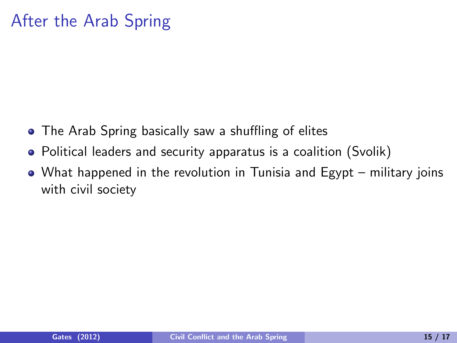### After the Arab Spring

- The Arab Spring basically saw a shuffling of elites
- Political leaders and security apparatus is a coalition (Svolik)
- What happened in the revolution in Tunisia and Egypt military joins with civil society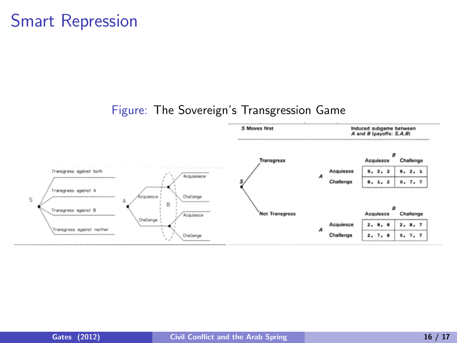#### Smart Repression

#### Figure: The Sovereign's Transgression Game